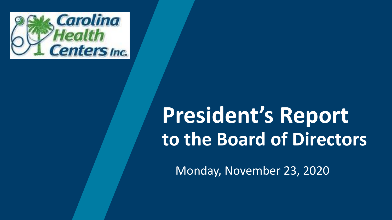

# **President's Report to the Board of Directors**

Monday, November 23, 2020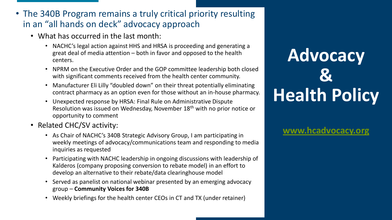#### • The 340B Program remains a truly critical priority resulting in an "all hands on deck" advocacy approach

- What has occurred in the last month:
	- NACHC's legal action against HHS and HRSA is proceeding and generating a great deal of media attention – both in favor and opposed to the health centers.
	- NPRM on the Executive Order and the GOP committee leadership both closed with significant comments received from the health center community.
	- Manufacturer Eli Lilly "doubled down" on their threat potentially eliminating contract pharmacy as an option even for those without an in-house pharmacy.
	- Unexpected response by HRSA: Final Rule on Administrative Dispute Resolution was issued on Wednesday, November 18th with no prior notice or opportunity to comment
- Related CHC/SV activity:
	- As Chair of NACHC's 340B Strategic Advisory Group, I am participating in weekly meetings of advocacy/communications team and responding to media inquiries as requested
	- Participating with NACHC leadership in ongoing discussions with leadership of Kalderos (company proposing conversion to rebate model) in an effort to develop an alternative to their rebate/data clearinghouse model
	- Served as panelist on national webinar presented by an emerging advocacy group – **Community Voices for 340B**
	- Weekly briefings for the health center CEOs in CT and TX (under retainer)

# **Advocacy & Health Policy**

**[www.hcadvocacy.org](http://www.hcadvocacy.org/)**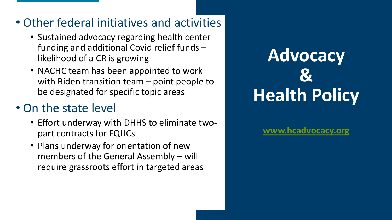### • Other federal initiatives and activities

- Sustained advocacy regarding health center funding and additional Covid relief funds – likelihood of a CR is growing
- NACHC team has been appointed to work with Biden transition team – point people to be designated for specific topic areas

## • On the state level

- Effort underway with DHHS to eliminate twopart contracts for FQHCs
- Plans underway for orientation of new members of the General Assembly – will require grassroots effort in targeted areas

# **Advocacy & Health Policy**

**[www.hcadvocacy.org](http://www.hcadvocacy.org/)**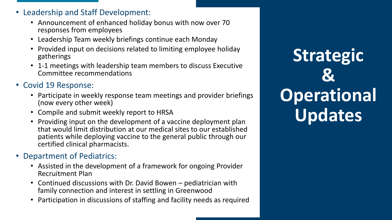- Leadership and Staff Development:
	- Announcement of enhanced holiday bonus with now over 70 responses from employees
	- Leadership Team weekly briefings continue each Monday
	- Provided input on decisions related to limiting employee holiday gatherings
	- 1-1 meetings with leadership team members to discuss Executive Committee recommendations
- Covid 19 Response:
	- Participate in weekly response team meetings and provider briefings (now every other week)
	- Compile and submit weekly report to HRSA
	- Providing input on the development of a vaccine deployment plan that would limit distribution at our medical sites to our established patients while deploying vaccine to the general public through our certified clinical pharmacists.
- Department of Pediatrics:
	- Assisted in the development of a framework for ongoing Provider Recruitment Plan
	- Continued discussions with Dr. David Bowen pediatrician with family connection and interest in settling in Greenwood
	- Participation in discussions of staffing and facility needs as required

**Strategic & Operational Updates**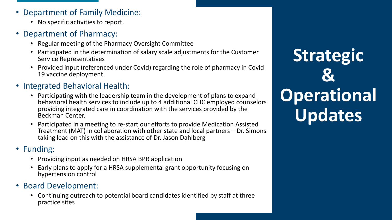- Department of Family Medicine:
	- No specific activities to report.
- Department of Pharmacy:
	- Regular meeting of the Pharmacy Oversight Committee
	- Participated in the determination of salary scale adjustments for the Customer Service Representatives
	- Provided input (referenced under Covid) regarding the role of pharmacy in Covid 19 vaccine deployment
- Integrated Behavioral Health:
	- Participating with the leadership team in the development of plans to expand behavioral health services to include up to 4 additional CHC employed counselors providing integrated care in coordination with the services provided by the Beckman Center.
	- Participated in a meeting to re-start our efforts to provide Medication Assisted Treatment (MAT) in collaboration with other state and local partners – Dr. Simons taking lead on this with the assistance of Dr. Jason Dahlberg

#### • Funding:

- Providing input as needed on HRSA BPR application
- Early plans to apply for a HRSA supplemental grant opportunity focusing on hypertension control
- Board Development:
	- Continuing outreach to potential board candidates identified by staff at three practice sites

**Strategic & Operational Updates**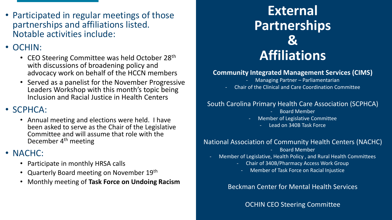• Participated in regular meetings of those partnerships and affiliations listed. Notable activities include:

### • OCHIN:

- CEO Steering Committee was held October 28<sup>th</sup> with discussions of broadening policy and advocacy work on behalf of the HCCN members
- Served as a panelist for the November Progressive Leaders Workshop with this month's topic being Inclusion and Racial Justice in Health Centers

### • SCPHCA:

• Annual meeting and elections were held. I have been asked to serve as the Chair of the Legislative Committee and will assume that role with the December 4th meeting

### • NACHC:

- Participate in monthly HRSA calls
- Quarterly Board meeting on November 19th
- Monthly meeting of **Task Force on Undoing Racism**

### **External Partnerships & Affiliations**

#### **Community Integrated Management Services (CIMS)**

- Managing Partner Parliamentarian
- Chair of the Clinical and Care Coordination Committee

#### South Carolina Primary Health Care Association (SCPHCA)

- Board Member
- Member of Legislative Committee
	- Lead on 340B Task Force

#### National Association of Community Health Centers (NACHC)

- Board Member
- Member of Legislative, Health Policy , and Rural Health Committees
	- Chair of 340B/Pharmacy Access Work Group
		- Member of Task Force on Racial Injustice

Beckman Center for Mental Health Services

OCHIN CEO Steering Committee